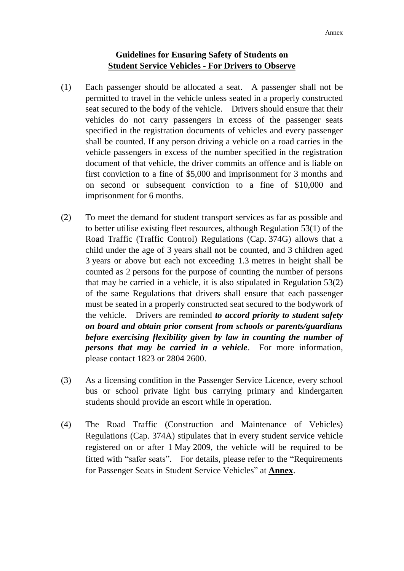# **Guidelines for Ensuring Safety of Students on Student Service Vehicles - For Drivers to Observe**

- (1) Each passenger should be allocated a seat. A passenger shall not be permitted to travel in the vehicle unless seated in a properly constructed seat secured to the body of the vehicle. Drivers should ensure that their vehicles do not carry passengers in excess of the passenger seats specified in the registration documents of vehicles and every passenger shall be counted. If any person driving a vehicle on a road carries in the vehicle passengers in excess of the number specified in the registration document of that vehicle, the driver commits an offence and is liable on first conviction to a fine of \$5,000 and imprisonment for 3 months and on second or subsequent conviction to a fine of \$10,000 and imprisonment for 6 months.
- (2) To meet the demand for student transport services as far as possible and to better utilise existing fleet resources, although Regulation 53(1) of the Road Traffic (Traffic Control) Regulations (Cap. 374G) allows that a child under the age of 3 years shall not be counted, and 3 children aged 3 years or above but each not exceeding 1.3 metres in height shall be counted as 2 persons for the purpose of counting the number of persons that may be carried in a vehicle, it is also stipulated in Regulation 53(2) of the same Regulations that drivers shall ensure that each passenger must be seated in a properly constructed seat secured to the bodywork of the vehicle. Drivers are reminded *to accord priority to student safety on board and obtain prior consent from schools or parents/guardians before exercising flexibility given by law in counting the number of persons that may be carried in a vehicle*. For more information, please contact 1823 or 2804 2600.
- (3) As a licensing condition in the Passenger Service Licence, every school bus or school private light bus carrying primary and kindergarten students should provide an escort while in operation.
- (4) The Road Traffic (Construction and Maintenance of Vehicles) Regulations (Cap. 374A) stipulates that in every student service vehicle registered on or after 1 May 2009, the vehicle will be required to be fitted with "safer seats". For details, please refer to the "Requirements for Passenger Seats in Student Service Vehicles" at **Annex**.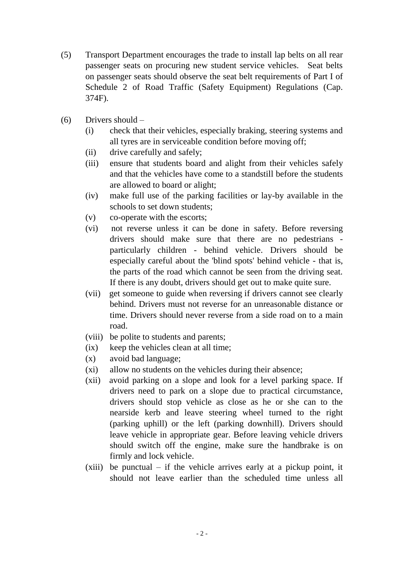- (5) Transport Department encourages the trade to install lap belts on all rear passenger seats on procuring new student service vehicles. Seat belts on passenger seats should observe the seat belt requirements of Part I of Schedule 2 of Road Traffic (Safety Equipment) Regulations (Cap. 374F).
- (6) Drivers should
	- (i) check that their vehicles, especially braking, steering systems and all tyres are in serviceable condition before moving off;
	- (ii) drive carefully and safely;
	- (iii) ensure that students board and alight from their vehicles safely and that the vehicles have come to a standstill before the students are allowed to board or alight;
	- (iv) make full use of the parking facilities or lay-by available in the schools to set down students;
	- (v) co-operate with the escorts;
	- (vi) not reverse unless it can be done in safety. Before reversing drivers should make sure that there are no pedestrians particularly children - behind vehicle. Drivers should be especially careful about the 'blind spots' behind vehicle - that is, the parts of the road which cannot be seen from the driving seat. If there is any doubt, drivers should get out to make quite sure.
	- (vii) get someone to guide when reversing if drivers cannot see clearly behind. Drivers must not reverse for an unreasonable distance or time. Drivers should never reverse from a side road on to a main road.
	- (viii) be polite to students and parents;
	- (ix) keep the vehicles clean at all time;
	- (x) avoid bad language;
	- (xi) allow no students on the vehicles during their absence;
	- (xii) avoid parking on a slope and look for a level parking space. If drivers need to park on a slope due to practical circumstance, drivers should stop vehicle as close as he or she can to the nearside kerb and leave steering wheel turned to the right (parking uphill) or the left (parking downhill). Drivers should leave vehicle in appropriate gear. Before leaving vehicle drivers should switch off the engine, make sure the handbrake is on firmly and lock vehicle.
	- $(xiii)$  be punctual if the vehicle arrives early at a pickup point, it should not leave earlier than the scheduled time unless all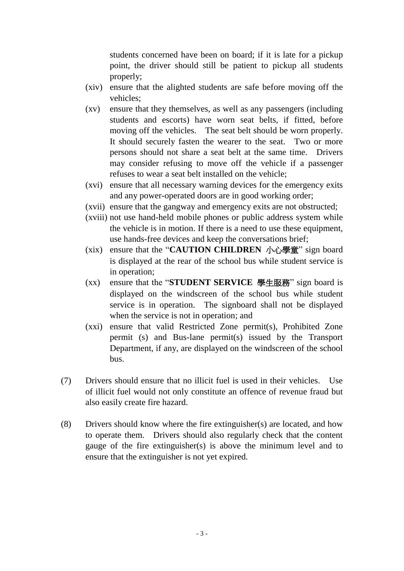students concerned have been on board; if it is late for a pickup point, the driver should still be patient to pickup all students properly;

- (xiv) ensure that the alighted students are safe before moving off the vehicles;
- (xv) ensure that they themselves, as well as any passengers (including students and escorts) have worn seat belts, if fitted, before moving off the vehicles. The seat belt should be worn properly. It should securely fasten the wearer to the seat. Two or more persons should not share a seat belt at the same time. Drivers may consider refusing to move off the vehicle if a passenger refuses to wear a seat belt installed on the vehicle;
- (xvi) ensure that all necessary warning devices for the emergency exits and any power-operated doors are in good working order;
- (xvii) ensure that the gangway and emergency exits are not obstructed;
- (xviii) not use hand-held mobile phones or public address system while the vehicle is in motion. If there is a need to use these equipment, use hands-free devices and keep the conversations brief;
- (xix) ensure that the "**CAUTION CHILDREN**  $\ln \frac{m}{n}$  sign board is displayed at the rear of the school bus while student service is in operation;
- (xx) ensure that the "**STUDENT SERVICE** 學生服務" sign board is displayed on the windscreen of the school bus while student service is in operation. The signboard shall not be displayed when the service is not in operation; and
- (xxi) ensure that valid Restricted Zone permit(s), Prohibited Zone permit (s) and Bus-lane permit(s) issued by the Transport Department, if any, are displayed on the windscreen of the school bus.
- (7) Drivers should ensure that no illicit fuel is used in their vehicles. Use of illicit fuel would not only constitute an offence of revenue fraud but also easily create fire hazard.
- (8) Drivers should know where the fire extinguisher(s) are located, and how to operate them. Drivers should also regularly check that the content gauge of the fire extinguisher(s) is above the minimum level and to ensure that the extinguisher is not yet expired.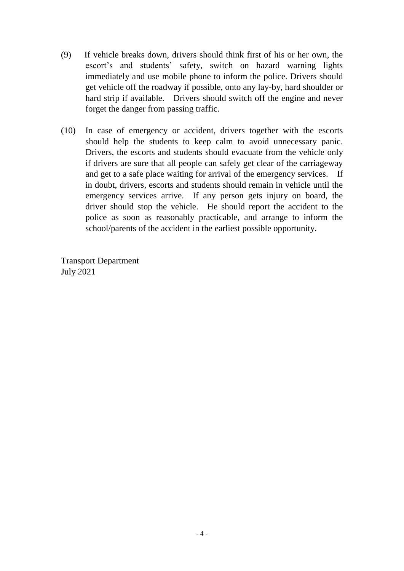- (9) If vehicle breaks down, drivers should think first of his or her own, the escort's and students' safety, switch on hazard warning lights immediately and use mobile phone to inform the police. Drivers should get vehicle off the roadway if possible, onto any lay-by, hard shoulder or hard strip if available. Drivers should switch off the engine and never forget the danger from passing traffic.
- (10) In case of emergency or accident, drivers together with the escorts should help the students to keep calm to avoid unnecessary panic. Drivers, the escorts and students should evacuate from the vehicle only if drivers are sure that all people can safely get clear of the carriageway and get to a safe place waiting for arrival of the emergency services. If in doubt, drivers, escorts and students should remain in vehicle until the emergency services arrive. If any person gets injury on board, the driver should stop the vehicle. He should report the accident to the police as soon as reasonably practicable, and arrange to inform the school/parents of the accident in the earliest possible opportunity.

Transport Department July 2021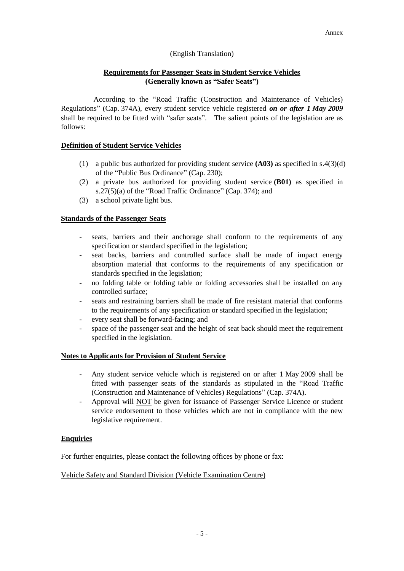## (English Translation)

# **Requirements for Passenger Seats in Student Service Vehicles (Generally known as "Safer Seats")**

According to the "Road Traffic (Construction and Maintenance of Vehicles) Regulations" (Cap. 374A), every student service vehicle registered *on or after 1 May 2009* shall be required to be fitted with "safer seats". The salient points of the legislation are as follows:

# **Definition of Student Service Vehicles**

- (1) a public bus authorized for providing student service **(A03)** as specified in s.4(3)(d) of the "Public Bus Ordinance" (Cap. 230);
- (2) a private bus authorized for providing student service **(B01)** as specified in s.27(5)(a) of the "Road Traffic Ordinance" (Cap. 374); and
- (3) a school private light bus.

## **Standards of the Passenger Seats**

- seats, barriers and their anchorage shall conform to the requirements of any specification or standard specified in the legislation;
- seat backs, barriers and controlled surface shall be made of impact energy absorption material that conforms to the requirements of any specification or standards specified in the legislation;
- no folding table or folding table or folding accessories shall be installed on any controlled surface;
- seats and restraining barriers shall be made of fire resistant material that conforms to the requirements of any specification or standard specified in the legislation;
- every seat shall be forward-facing; and
- space of the passenger seat and the height of seat back should meet the requirement specified in the legislation.

#### **Notes to Applicants for Provision of Student Service**

- Any student service vehicle which is registered on or after 1 May 2009 shall be fitted with passenger seats of the standards as stipulated in the "Road Traffic (Construction and Maintenance of Vehicles) Regulations" (Cap. 374A).
- Approval will **NOT** be given for issuance of Passenger Service Licence or student service endorsement to those vehicles which are not in compliance with the new legislative requirement.

#### **Enquiries**

For further enquiries, please contact the following offices by phone or fax:

#### Vehicle Safety and Standard Division (Vehicle Examination Centre)